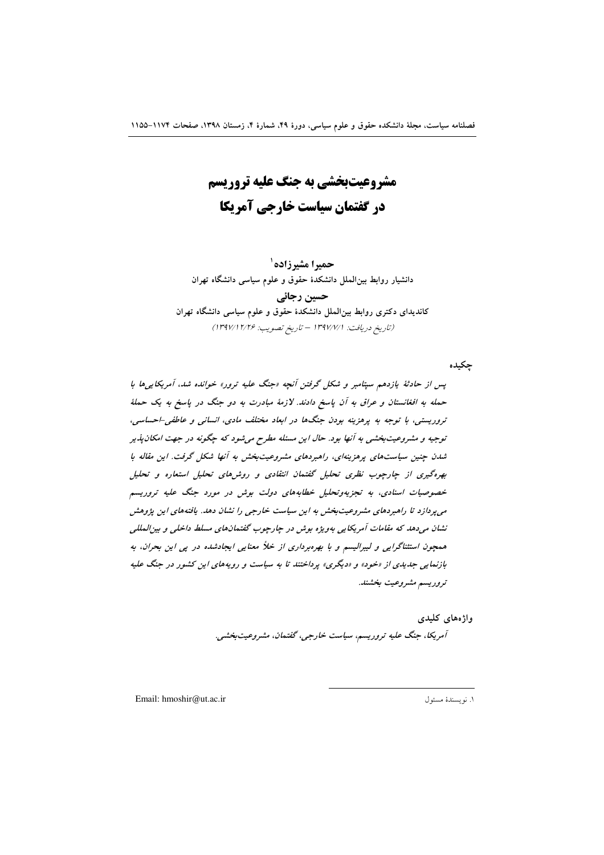مشروعیتبخشی به جنگ علیه تروریسم در گفتمان سیاست خارجی آمریکا

حميرا مشيرزاده ` دانشیار روابط بین الملل دانشکدهٔ حقوق و علوم سیاسی دانشگاه تهران

حسین رجائی کاندیدای دکتری روابط بینالملل دانشکدهٔ حقوق و علوم سیاسی دانشگاه تهران (تاريخ دريافت: ١٣٩٧/٧/١ - تاريخ تصويب: ١٣٩٧/١٢/٢۶)

حكىدە

پس از حادثهٔ بازدهم سپتامبر و شکل گرفتن آنچه «جنگ علیه ترور» خوانده شد، آمریکاییها با حمله به افغانستان و عراق به آن پاسخ دادند. لازمهٔ مبادرت به دو جنگ در پاسخ به یک حملهٔ تروریستی، با توجه به پرهزینه بودن جنگها در ابعاد مختلف مادی، انسانی و عاطفی-احساسی، توجیه و مشروعیتبخشی به آنها بود. حال این مسئله مطرح می شود که چگونه در جهت امکان پذیر شدن چنین سیاستهای پرهزینهای، راهبردهای مشروعیتبخش به آنها شکل گرفت. این مقاله با بهره گیری از چارچوب نظری تحلیل گفتمان انتقادی و روش۵ای تحلیل استعاره و تحلیل خصوصیات اسنادی، به تجزیهوتحلیل خطابههای دولت بوش در مورد جنگ علیه تروریسم می پردازد تا راهبردهای مشروعیت بخش به این سیاست خارجی را نشان دهد. یافتههای این پژوهش نشان مې دهد که مقامات آمريکايي بهويژه بوش در جارچوب گفتمان هاي مسلط داخلې و بيزالمللې همچون استثناگرایی و لیبرالیسم و با بهرهبرداری از خلاً معنایی ایجادشده در پی این بحران، به بازنمایی جدیدی از «خود» و «دیگری» پرداختند تا به سیاست و رویههای این کشور در جنگ علیه تروريسم مشروعيت بخشند.

وإژەهای كليدى

آمريكا، جنگ عليه تروريسم، سياست خارجي، گفتمان، مشروعيت بخشي.

Email: hmoshir@ut.ac.ir

١. نويسندة مسئول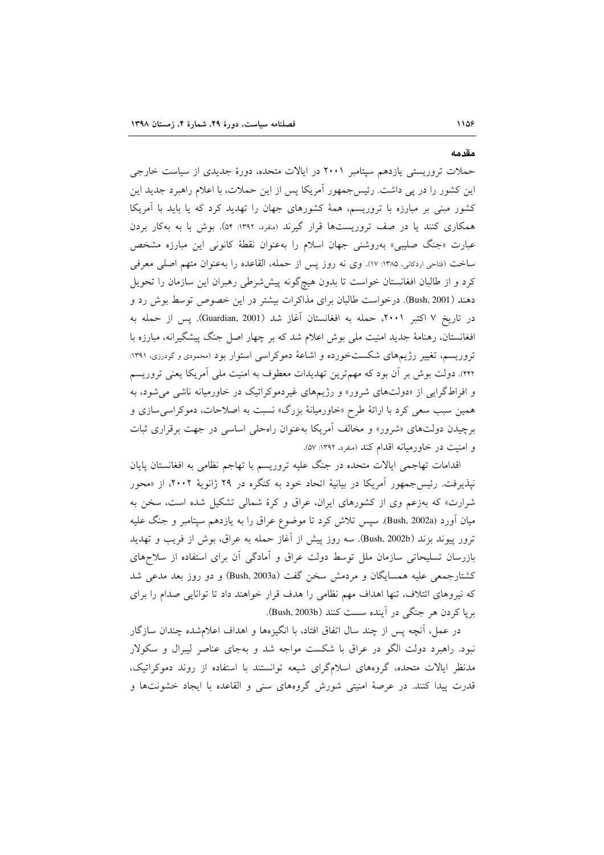حملات تروریستی یازدهم سیتامبر ۲۰۰۱ در ایالات متحده، دورهٔ جدیدی از سیاست خارجی این کشور را در پی داشت. رئیس جمهور آمریکا پس از این حملات، با اعلام راهبرد جدید این کشور مبنی بر مبارزه با تروریسم، همهٔ کشورهای جهان را تهدید کرد که یا باید با آمریکا همکاری کنند یا در صف تروریستها قرار گیرند (منفرد، ۱۳۹۲: ۵۴). بوش با به بهکار بردن عبارت «جنگ صلیبی» بهروشنی جهان اسلام را بهعنوان نقطهٔ کانونی این مبارزه مشخص ساخت (فتاحي اردكاني، ١٣٨٥: ١٧). وي نه روز پس از حمله، القاعده را بهعنوان متهم اصلي معرفي کرد و از طالبان افغانستان خواست تا بدون هیچگونه پیششرطی رهبران این سازمان را تحویل دهند (Bush, 2001). درخواست طالبان برای مذاکرات بیشتر در این خصوص توسط بوش رد و در تاريخ ۷ اكتبر ۲۰۰۱، حمله به افغانستان آغاز شد (Guardian, 2001). يس از حمله به افغانستان، رهنامهٔ جدید امنیت ملی بوش اعلام شد که بر چهار اصل جنگ پیشگیرانه، مبارزه با تروریسم، تغییر رژیمهای شکستخورده و اشاعهٔ دموکراسی استوار بود (محمودی و گودرزی، ۱۳۹۱: ۴۴۲). دولت بوش بر آن بود که مهمترین تهدیدات معطوف به امنیت ملی آمریکا یعنی تروریسم و افراطگرایی از «دولتهای شرور» و رژیمهای غیردموکراتیک در خاورمیانه ناشی میشود، به همین سبب سعی کرد با ارائهٔ طرح «خاورمیانهٔ بزرگ» نسبت به اصلاحات، دموکراسی سازی و برچیدن دولتهای «شرور» و مخالف آمریکا بهعنوان راهحلی اساسی در جهت برقراری ثبات و امنیت در خاورمیانه اقدام کند (منفرد، ۱۳۹۲: ۵۷).

اقدامات تهاجمی ایالات متحده در جنگ علیه تروریسم با تهاجم نظامی به افغانستان پایان نپذیرفت. رئیسجمهور آمریکا در بیانیهٔ اتحاد خود به کنگره در ۲۹ ژانویهٔ ۲۰۰۲، از «محور شرارت» که بهزعم وی از کشورهای ایران، عراق و کرهٔ شمالی تشکیل شده است، سخن به میان آورد (Bush, 2002a). سپس تلاش کرد تا موضوع عراق را به یازدهم سپتامبر و جنگ علیه ترور پیوند بزند (Bush, 2002b). سه روز پیش از آغاز حمله به عراق، بوش از فریب و تهدید بازرسان تسلیحاتی سازمان ملل توسط دولت عراق و آمادگی آن برای استفاده از سلاحهای كشتارجمعي عليه همسايگان و مردمش سخن گفت (Bush, 2003a) و دو روز بعد مدعى شد که نیروهای ائتلاف، تنها اهداف مهم نظامی را هدف قرار خواهند داد تا توانایی صدام را برای بريا كردن هر جنگي در آينده سست كنند (Bush, 2003b).

در عمل، آنچه پس از چند سال اتفاق افتاد، با انگیزهها و اهداف اعلامشده چندان سازگار نبود. راهبرد دولت الگو در عراق با شکست مواجه شد و بهجای عناصر لیبرال و سکولار مدنظر ایالات متحده، گروههای اسلامگرای شیعه توانستند با استفاده از روند دموکراتیک، قدرت پیدا کنند. در عرصهٔ امنیتی شورش گروههای سنی و القاعده با ایجاد خشونتها و

مقدمه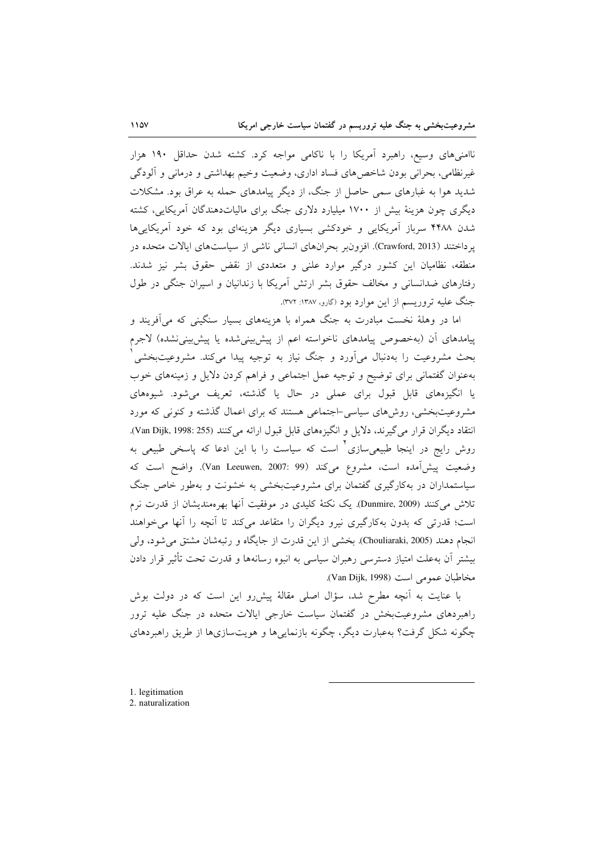ناامنیهای وسیع، راهبرد آمریکا را با ناکامی مواجه کرد. کشته شدن حداقل ۱۹۰ هزار غیرنظامی، بحرانی بودن شاخص های فساد اداری، وضعیت وخیم بهداشتی و درمانی و آلودگی شدید هوا به غبارهای سمی حاصل از جنگ، از دیگر پیامدهای حمله به عراق بود. مشکلات دیگری چون هزینهٔ بیش از ۱۷۰۰ میلیارد دلاری جنگ برای مالیاتدهندگان آمریکایی، کشته شدن ۴۴۸۸ سرباز آمریکایی و خودکشی بسیاری دیگر هزینهای بود که خود آمریکایی ها يرداختند (Crawford, 2013). افزون بر بحرانهاي انساني ناشي از سياستهاي ايالات متحده در منطقه، نظامیان این کشور درگیر موارد علنی و متعددی از نقض حقوق بشر نیز شدند. رفتارهای ضدانسانی و مخالف حقوق بشر ارتش آمریکا با زندانیان و اسیران جنگی در طول جنگ علیه تروریسم از این موارد بود (گارو، ۱۳۸۷: ۳۷۲).

اما در وهلهٔ نخست مبادرت به جنگ همراه با هزینههای بسیار سنگینی که می آفریند و پیامدهای اَن (بهخصوص پیامدهای ناخواسته اعم از پیشبینیشده یا پیشبینینشده) لاجرم بحث مشروعیت را بهدنبال می[ورد و جنگ نیاز به توجیه پیدا میکند. مشروعیتبخشی ٰ بهعنوان گفتمانی برای توضیح و توجیه عمل اجتماعی و فراهم کردن دلایل و زمینههای خوب یا انگیزههای قابل قبول برای عملی در حال یا گذشته، تعریف می شود. شیوههای مشروعیتبخشی، روشهای سیاسی-اجتماعی هستند که برای اعمال گذشته و کنونی که مورد انتقاد ديگران قرار مي گيرند، دلايل و انگيزههاي قابل قبول ارائه مي كنند (Van Dijk, 1998: 255). روش رایج در اینجا طبیعی۳ازی<sup>٬</sup> است که سیاست را با این ادعا که پاسخی طبیعی به وضعيت پيش آمده است، مشروع مي كند (Van Leeuwen, 2007: 99). واضح است كه سیاستمداران در بهکارگیری گفتمان برای مشروعیتبخشی به خشونت و بهطور خاص جنگ تلاش می کنند (Dunmire, 2009). یک نکتهٔ کلیدی در موفقیت آنها بهرهمندیشان از قدرت نرم است؛ قدرتی که بدون بهکارگیری نیرو دیگران را متقاعد میکند تا اَنچه را اَنها می خواهند انجام دهند (Chouliaraki, 2005). بخشی از این قدرت از جایگاه و رتبهشان مشتق می شود، ولی بیشتر آن بهعلت امتیاز دسترسی رهبران سیاسی به انبوه رسانهها و قدرت تحت تأثیر قرار دادن مخاطبان عمومي است (Van Dijk, 1998).

با عنایت به آنچه مطرح شد، سؤال اصلی مقالهٔ پیش رو این است که در دولت بوش راهبردهای مشروعیتبخش در گفتمان سیاست خارجی ایالات متحده در جنگ علیه ترور چگونه شکل گرفت؟ بهعبارت دیگر، چگونه بازنمایی ها و هویتسازی ها از طریق راهبردهای

<sup>1.</sup> legitimation 2. naturalization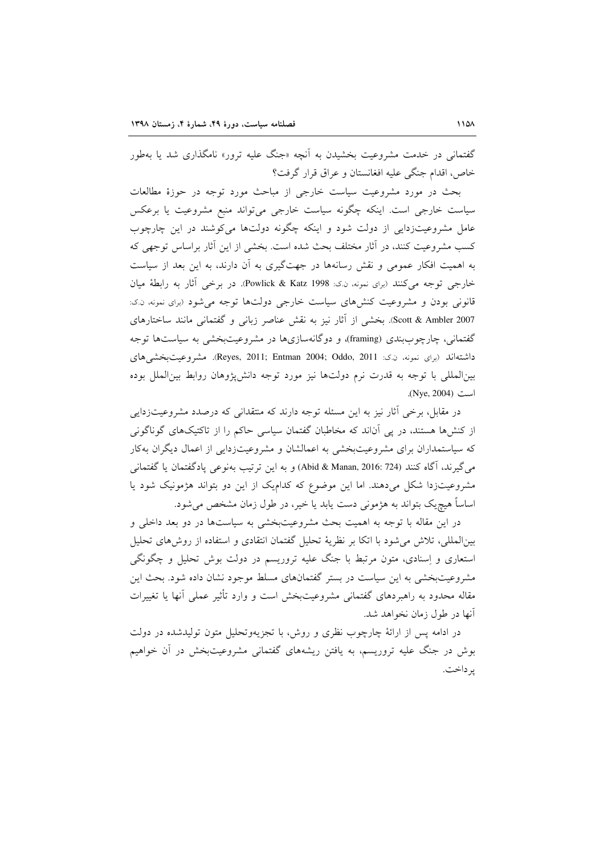گفتمانی در خدمت مشروعیت بخشیدن به آنچه «جنگ علیه ترور» نامگذاری شد یا بهطور خاص، اقدام جنگ عليه افغانستان و عراق قرار گرفت؟

بحث در مورد مشروعیت سیاست خارجی از مباحث مورد توجه در حوزهٔ مطالعات سیاست خارجی است. اینکه چگونه سیاست خارجی میتواند منبع مشروعیت یا برعکس عامل مشروعیتزدایی از دولت شود و اینکه چگونه دولتها میکوشند در این چارچوب کسب مشروعیت کنند، در آثار مختلف بحث شده است. بخشی از این آثار براساس توجهی که به اهمیت افکار عمومی و نقش رسانهها در جهتگیری به آن دارند، به این بعد از سیاست خارجي توجه مي كنند (براي نمونه، ن.ك: Powlick & Katz 1998). در برخي آثار به رابطة ميان قانونی بودن و مشروعیت کنشهای سیاست خارجی دولتها توجه می شود (برای نمونه، ن.ک: Scott & Ambler 2007). بخشي از آثار نيز به نقش عناصر زباني و گفتماني مانند ساختارهاي گفتمانی، چارچوببندی (framing)، و دوگانهسازیها در مشروعیتبخشی به سیاستها توجه داشتهاند (برای نمونه، ن کنز Reyes, 2011; Entman 2004; Oddo, 2011). مشروعیتبخشی های بینالمللی با توجه به قدرت نرم دولتها نیز مورد توجه دانشپژوهان روابط بینالملل بوده است (Nye, 2004).

در مقابل، برخی آثار نیز به این مسئله توجه دارند که منتقدانی که درصدد مشروعیتزدایی از کنشها هستند، در پی آناند که مخاطبان گفتمان سیاسی حاکم را از تاکتیکهای گوناگونی که سیاستمداران برای مشروعیتبخشی به اعمالشان و مشروعیتزدایی از اعمال دیگران بهکار مي گيرند، آگاه كنند (2016: 724 Abid & Manan, 2016) و به اين ترتيب بهنوعي يادگفتمان يا گفتماني مشروعیتزدا شکل میدهند. اما این موضوع که کدامیک از این دو بتواند هژمونیک شود یا اساساً هیچ،یک بتواند به هژمونی دست یابد یا خیر، در طول زمان مشخص میشود.

در این مقاله با توجه به اهمیت بحث مشروعیتبخشی به سیاستها در دو بعد داخلی و بینالمللی، تلاش می شود با اتکا بر نظریهٔ تحلیل گفتمان انتقادی و استفاده از روش های تحلیل استعاری و اِسنادی، متون مرتبط با جنگ علیه تروریسم در دولت بوش تحلیل و چگونگی مشروعیتبخشی به این سیاست در بستر گفتمانهای مسلط موجود نشان داده شود. بحث این مقاله محدود به راهبردهای گفتمانی مشروعیتبخش است و وارد تأثیر عملی آنها یا تغییرات آنها در طول زمان نخواهد شد.

در ادامه پس از ارائهٔ چارچوب نظری و روش، با تجزیهوتحلیل متون تولیدشده در دولت بوش در جنگ علیه تروریسم، به یافتن ریشههای گفتمانی مشروعیتبخش در آن خواهیم ير داخت.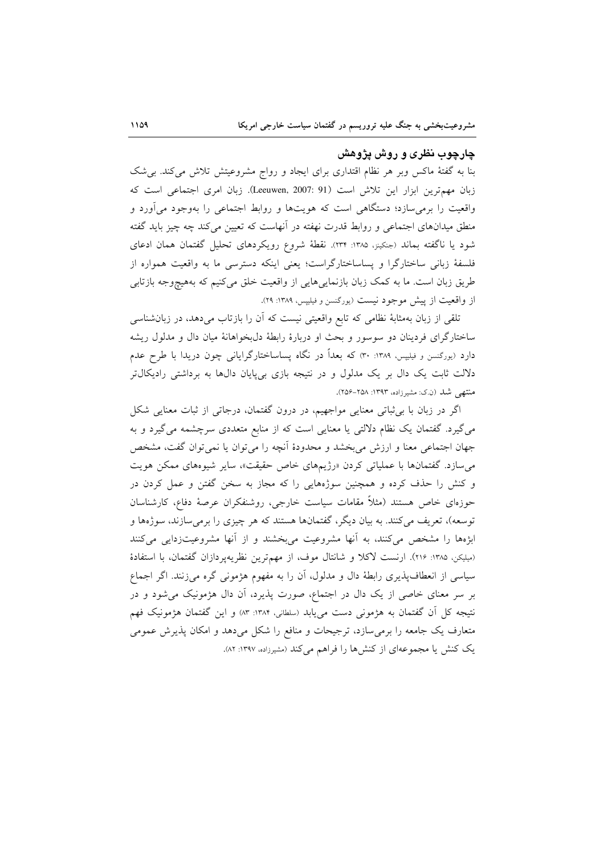### چارچوب نظری و روش پژوهش

بنا به گفتهٔ ماکس وبر هر نظام اقتداری برای ایجاد و رواج مشروعیتش تلاش می کند. بی شک زبان مهم ترين ابزار اين تلاش است (Leeuwen, 2007: 91). زبان امرى اجتماعى است كه واقعیت را برمی سازد؛ دستگاهی است که هویتها و روابط اجتماعی را بهوجود می آورد و منطق میدانهای اجتماعی و روابط قدرت نهفته در انهاست که تعیین میکند چه چیز باید گفته شود یا ناگفته بماند (جنکینز، ۱۳۸۵: ۲۳۴). نقطهٔ شروع رویکردهای تحلیل گفتمان همان ادعای فلسفهٔ زبانی ساختارگرا و پساساختارگراست؛ یعنی اینکه دسترسی ما به واقعیت همواره از طریق زبان است. ما به کمک زبان بازنماییهایی از واقعیت خلق میکنیم که بههیچوجه بازتابی از واقعیت از پیش موجود نیست (یورگنسن و فیلیپس، ۱۳۸۹: ۲۹).

تلقی از زبان بهمثابهٔ نظامی که تابع واقعیتی نیست که آن را بازتاب میدهد، در زبانشناسی ساختارگرای فردینان دو سوسور و بحث او دربارهٔ رابطهٔ دلبخواهانهٔ میان دال و مدلول ریشه دارد (بورگنسن و فیلیپس، ۱۳۸۹: ۳۰) که بعداً در نگاه پساساختارگرایانی چون دریدا با طرح عدم دلالت ثابت یک دال بر یک مدلول و در نتیجه بازی بیپایان دال% به برداشتی رادیکال تر منتهی شد (ن.ک: مشیرزاده، ۱۳۹۳: ۲۵۸–۲۵۶).

اگر در زبان با بی ثباتی معنایی مواجهیم، در درون گفتمان، درجاتی از ثبات معنایی شکل می گیرد. گفتمان یک نظام دلالتی یا معنایی است که از منابع متعددی سرچشمه می گیرد و به جهان اجتماعی معنا و ارزش میبخشد و محدودهٔ أنچه را میتوان یا نمیتوان گفت، مشخص می سازد. گفتمانها با عملیاتی کردن «رژیمهای خاص حقیقت»، سایر شیوههای ممکن هویت و کنش را حذف کرده و همچنین سوژههایی را که مجاز به سخن گفتن و عمل کردن در حوزهای خاص هستند (مثلاً مقامات سیاست خارجی، روشنفکران عرصهٔ دفاع، کارشناسان توسعه)، تعریف میکنند. به بیان دیگر، گفتمانها هستند که هر چیزی را برمیسازند، سوژهها و ابژهها را مشخص میکنند، به آنها مشروعیت میبخشند و از آنها مشروعیتزدایی میکنند (میلیکن، ۱۳۸۵: ۲۱۶). ارنست لاکلا و شانتال موف، از مهمترین نظریهپردازان گفتمان، با استفادهٔ سیاسی از انعطاف پذیری رابطهٔ دال و مدلول، آن را به مفهوم هژمونی گره میزنند. اگر اجماع بر سر معنای خاصی از یک دال در اجتماع، صورت پذیرد، آن دال هژمونیک می شود و در نتیجه کل آن گفتمان به هژمونی دست میbیابد (سلطانی، ۱۳۸۴: ۸۳) و این گفتمان هژمونیک فهم متعارف یک جامعه را برمی سازد، ترجیحات و منافع را شکل میدهد و امکان پذیرش عمومی یک کنش یا مجموعهای از کنش ها را فراهم می کند (مشیرزاده، ۱۳۹۷: ۸۲).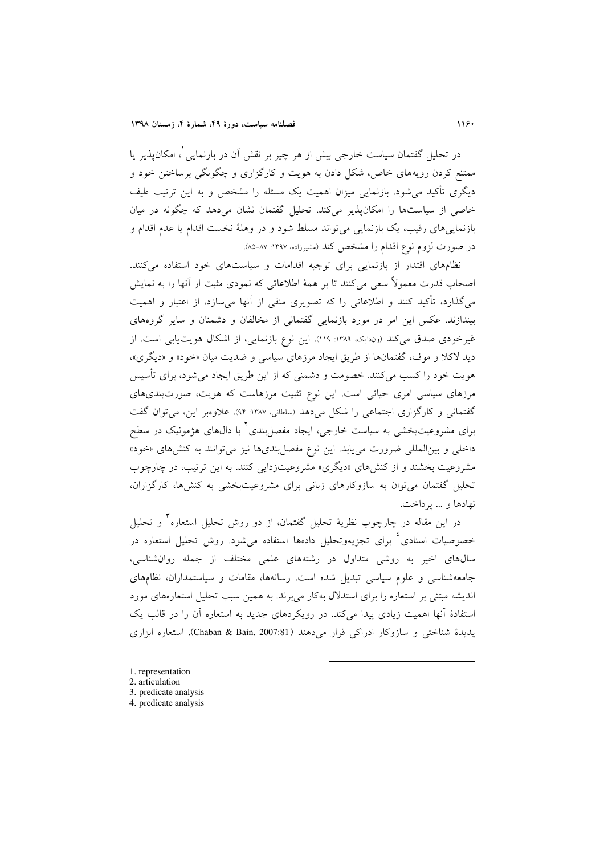در تحلیل گفتمان سیاست خارجی بیش از هر چیز بر نقش آن در بازنمایی <sup>۱</sup>، امکان $یذیر یا$ ممتنع کردن رویههای خاص، شکل دادن به هویت و کارگزاری و چگونگی برساختن خود و دیگری تأکید می شود. بازنمایی میزان اهمیت یک مسئله را مشخص و به این ترتیب طیف خاصی از سیاستها را امکانپذیر میکند. تحلیل گفتمان نشان میدهد که چگونه در میان بازنماییهای رقیب، یک بازنمایی میتواند مسلط شود و در وهلهٔ نخست اقدام یا عدم اقدام و در صورت لزوم نوع اقدام را مشخص کند (مشیرزاده، ۱۳۹۷: ۸۷–۸۵).

نظامهای اقتدار از بازنمایی برای توجیه اقدامات و سیاستهای خود استفاده میکنند. اصحاب قدرت معمولاً سعی می کنند تا بر همهٔ اطلاعاتی که نمودی مثبت از آنها را به نمایش میگذارد، تأکید کنند و اطلاعاتی را که تصویری منفی از آنها می سازد، از اعتبار و اهمیت بیندازند. عکس این امر در مورد بازنمایی گفتمانی از مخالفان و دشمنان و سایر گروههای غیر خودی صدق می کند (وندایک، ۱۳۸۹: ۱۱۹). این نوع بازنمایی، از اشکال هویت یابی است. از دید لاکلا و موف، گفتمانها از طریق ایجاد مرزهای سیاسی و ضدیت میان «خود» و «دیگری»، هويت خود را كسب مي كنند. خصومت و دشمني كه از اين طريق ايجاد مي شود، براي تأسيس مرزهای سیاسی امری حیاتی است. این نوع تثبیت مرزهاست که هویت، صورتبندیهای گفتمانی و کارگزاری اجتماعی را شکل میدهد (سلطانی، ۱۳۸۷: ۹۴). علاوهبر این، می توان گفت برای مشروعیتبخشی به سیاست خارجی، ایجاد مفصل بندی ٔ با دالهای هژمونیک در سطح داخلی و بین المللی ضرورت می یابد. این نوع مفصل بندیها نیز می توانند به کنشهای «خود» مشروعیت بخشند و از کنشهای «دیگری» مشروعیتزدایی کنند. به این ترتیب، در چارچوب تحلیل گفتمان می توان به سازوکارهای زبانی برای مشروعیتبخشی به کنشها، کارگزاران، نهادها و ... يرداخت.

در این مقاله در چارچوب نظریهٔ تحلیل گفتمان، از دو روش تحلیل استعاره` و تحلیل خصوصیات اسنادی<sup>،</sup> برای تجزیهوتحلیل دادهها استفاده میشود. روش تحلیل استعاره در سال های اخیر به روشی متداول در رشتههای علمی مختلف از جمله روانشناسی، جامعهشناسی و علوم سیاسی تبدیل شده است. رسانهها، مقامات و سیاستمداران، نظامهای اندیشه مبتنی بر استعاره را برای استدلال بهکار می برند. به همین سبب تحلیل استعارههای مورد استفادهٔ آنها اهمیت زیادی پیدا می کند. در رویکردهای جدید به استعاره آن را در قالب یک یدیدهٔ شناختی و سازوکار ادراکی قرار می دهند (Chaban & Bain, 2007:81). استعاره ایزاری

- 1. representation
- 2. articulation
- 3. predicate analysis
- 4. predicate analysis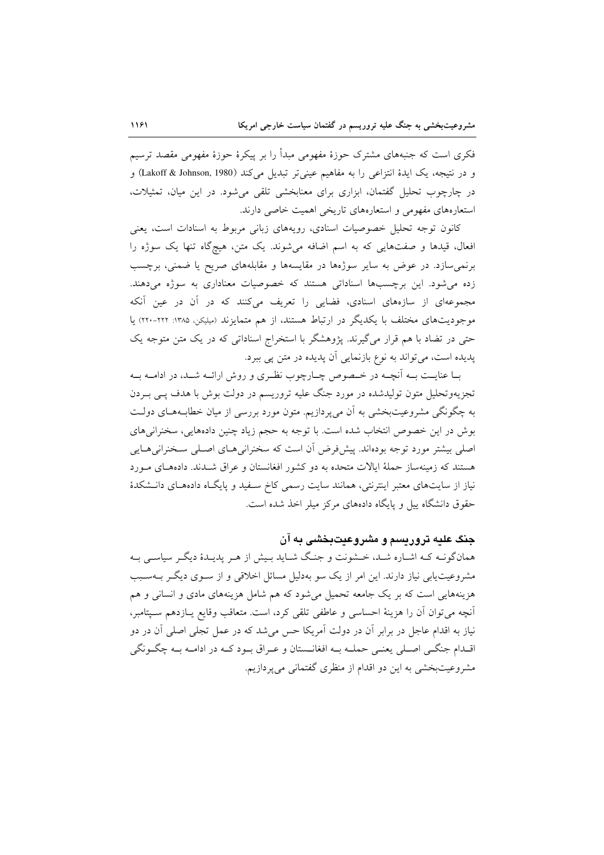فکری است که جنبههای مشترک حوزهٔ مفهومی مبدأ را بر پیکرهٔ حوزهٔ مفهومی مقصد ترسیم و در نتيجه، يک ايدهٔ انتزاعي را به مفاهيم عيني تر تبديل مي کند (Lakoff & Johnson, 1980) و در چارچوب تحلیل گفتمان، ابزاری برای معنابخشی تلقی میشود. در این میان، تمثیلات، استعارههای مفهومی و استعارههای تاریخی اهمیت خاصی دارند.

کانون توجه تحلیل خصوصیات اسنادی، رویههای زبانی مربوط به اسنادات است، یعنی افعال، قیدها و صفتهایی که به اسم اضافه می شوند. یک متن، هیچگاه تنها یک سوژه را برنمی سازد. در عوض به سایر سوژهها در مقایسهها و مقابلههای صریح یا ضمنی، برچسب زده می شود. این برچسبها اسناداتی هستند که خصوصیات معناداری به سوژه میدهند. مجموعهای از سازههای اسنادی، فضایی را تعریف میکنند که در آن در عین آنکه موجودیتهای مختلف با یکدیگر در ارتباط هستند، از هم متمایزند (میلیکن، ۱۳۸۵: ۲۲۲-۲۲۰) یا حتی در تضاد با هم قرار می گیرند. یژوهشگر با استخراج اسناداتی که در یک متن متوجه یک پدیده است، می تواند به نوع بازنمایی آن پدیده در متن پی ببرد.

بـا عنايـت بـه أنچـه در خـصوص چـارچوب نظـري و روش ارائـه شـد، در ادامـه بـه تجزیهوتحلیل متون تولیدشده در مورد جنگ علیه تروریسم در دولت بوش با هدف پــی بــردن به چگونگی مشروعیتبخشی به آن میپردازیم. متون مورد بررسی از میان خطابههای دولت بوش در این خصوص انتخاب شده است. با توجه به حجم زیاد چنین دادههایی، سخنرانیهای اصلی بیشتر مورد توجه بودهاند. پیشفروض آن است که سخنرانی هـای اصـلی سـخنرانی هـایی هستند که زمینهساز حملهٔ ایالات متحده به دو کشور افغانستان و عراق شـدند. دادههـای مـورد نیاز از سایتهای معتبر اینترنتی، همانند سایت رسمی کاخ سفید و پایگاه دادههای دانشکدهٔ حقوق دانشگاه پیل و پایگاه دادههای مرکز میلر اخذ شده است.

## حنگ علیه تروریسم و مشروعیت دخشی به آن

همانگونـه کـه اشـاره شـد، خـشونت و جنـگ شـايد بـيش از هـر پديـدۀ ديگـر سياسـي بـه مشروعیت یابی نیاز دارند. این امر از یک سو بهدلیل مسائل اخلاقی و از سـوی دیگـر بــهسـبب هزینههایی است که بر یک جامعه تحمیل می شود که هم شامل هزینههای مادی و انسانی و هم آنچه می توان آن را هزینهٔ احساسی و عاطفی تلقی کرد، است. متعاقب وقایع پـازدهم سـیتامبر، نیاز به اقدام عاجل در برابر آن در دولت آمریکا حس می شد که در عمل تجلی اصلی آن در دو اقـدام جنگــي اصــلي يعنــي حملــه بــه افغانــستان و عــراق بــود كــه در ادامــه بــه چگــونگـي مشروعیتبخشی به این دو اقدام از منظری گفتمانی میپردازیم.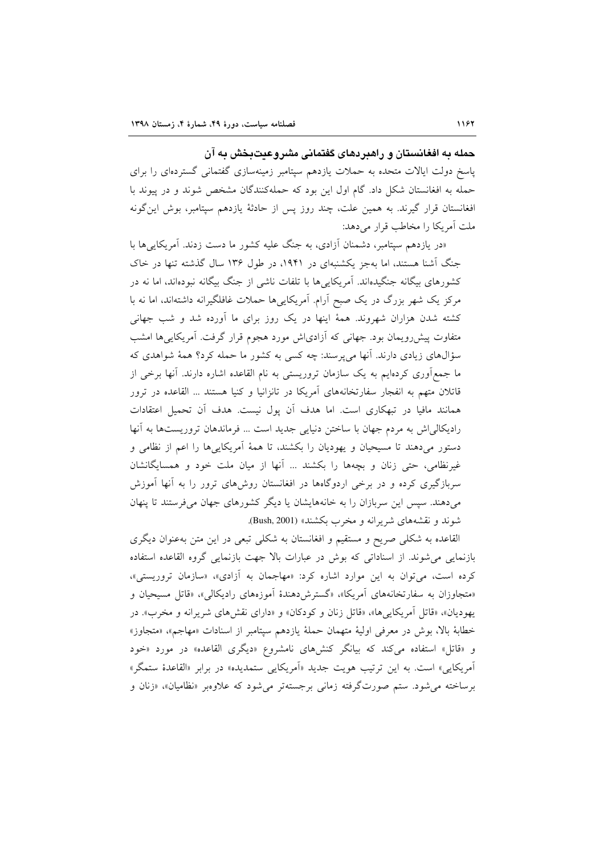حمله به افغانستان و راهبردهای گفتمانی مشروعیتبخش به آن پاسخ دولت ایالات متحده به حملات یازدهم سپتامبر زمینهسازی گفتمانی گستردهای را برای حمله به افغانستان شکل داد. گام اول این بود که حملهکنندگان مشخص شوند و در پیوند با افغانستان قرار گیرند. به همین علت، چند روز پس از حادثهٔ یازدهم سیتامبر، بوش این گونه ملت أمريكا را مخاطب قرار مى دهد:

«در یازدهم سپتامبر، دشمنان آزادی، به جنگ علیه کشور ما دست زدند. آمریکایی ها با جنگ آشنا هستند، اما بهجز یکشنبهای در ۱۹۴۱، در طول ۱۳۶ سال گذشته تنها در خاک کشورهای بیگانه جنگیدهاند. آمریکاییها با تلفات ناشی از جنگ بیگانه نبودهاند، اما نه در مرکز یک شهر بزرگ در یک صبح آرام. آمریکاییها حملات غافلگیرانه داشتهاند، اما نه با کشته شدن هزاران شهروند. همهٔ اینها در یک روز برای ما آورده شد و شب جهانی متفاوت پیش رویمان بود. جهانی که آزادی|ش مورد هجوم قرار گرفت. آمریکاییها امشب سؤالهای زیادی دارند. آنها می پرسند: چه کسی به کشور ما حمله کرد؟ همهٔ شواهدی که ما جمع[وری کردهایم به یک سازمان تروریستی به نام القاعده اشاره دارند. آنها برخی از قاتلان متهم به انفجار سفارتخانههای آمریکا در تانزانیا و کنیا هستند … القاعده در ترور همانند مافیا در تبهکاری است. اما هدف آن پول نیست. هدف آن تحمیل اعتقادات راديكالي اش به مردم جهان با ساختن دنيايي جديد است ... فرماندهان تروريستها به آنها دستور میدهند تا مسیحیان و یهودیان را بکشند، تا همهٔ أمریکاییها را اعم از نظامی و غیرنظامی، حتی زنان و بچهها را بکشند … آنها از میان ملت خود و همسایگانشان سربازگیری کرده و در برخی اردوگاهها در افغانستان روشهای ترور را به آنها آموزش می دهند. سپس این سربازان را به خانههایشان یا دیگر کشورهای جهان می فرستند تا پنهان شوند و نقشههای شریرانه و مخرب بکشند» (Bush, 2001).

القاعده به شکلی صریح و مستقیم و افغانستان به شکلی تبعی در این متن بهعنوان دیگری بازنمایی می شوند. از اسناداتی که بوش در عبارات بالا جهت بازنمایی گروه القاعده استفاده کرده است، می توان به این موارد اشاره کرد: «مهاجمان به آزادی»، «سازمان تروریستی»، «متجاوزان به سفارتخانههای آمریکا»، «گسترش دهندهٔ آموزههای رادیکالی»، «قاتل مسیحیان و یهودیان»، «قاتل أمریکاییها»، «قاتل زنان و کودکان» و «دارای نقشهای شریرانه و مخرب». در خطابةً بالاً، بوش در معرفي اولية متهمان حملةً يازدهم سيتامبر از اسنادات «مهاجم»، «متجاوز» و «قاتل» استفاده می کند که بیانگر کنش های نامشروع «دیگری القاعده» در مورد «خود آمریکایی» است. به این ترتیب هویت جدید «آمریکایی ستمدیده» در برابر «القاعدهٔ ستمگر» برساخته مي شود. ستم صورتگرفته زماني برجستهتر مي شود كه علاوهبر «نظاميان»، «زنان و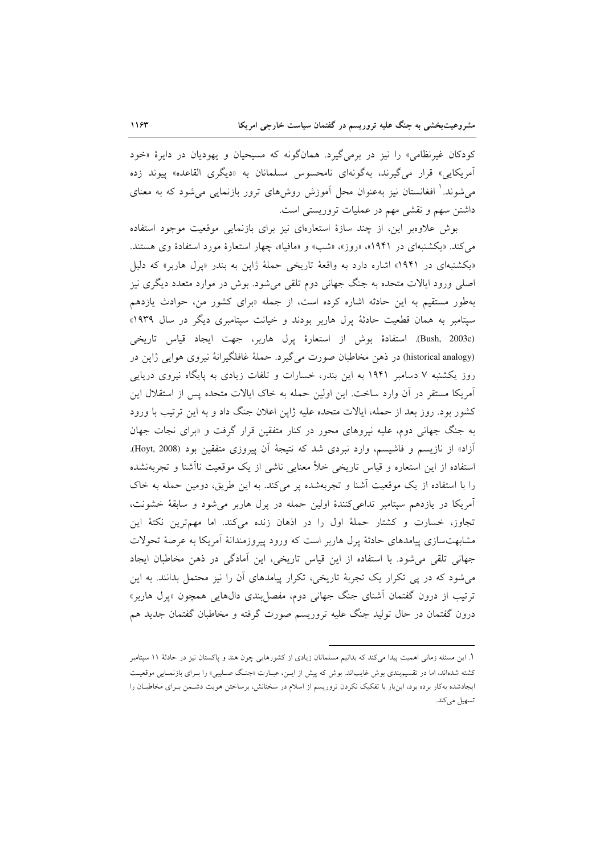کودکان غیرنظامی» را نیز در برمیگیرد. همانگونه که مسیحیان و یهودیان در دایرهٔ «خود آمریکایی» قرار می گیرند، به گونهای نامحسوس مسلمانان به «دیگری القاعده» پیوند زده میشوند. ٰ افغانستان نیز بهعنوان محل آموزش روش۵ای ترور بازنمایی میشود که به معنای داشتن سهم و نقشی مهم در عملیات تروریستی است.

بوش علاوهبر این، از چند سازهٔ استعارهای نیز برای بازنمایی موقعیت موجود استفاده می کند. «یکشنبهای در ۱۹۴۱»، «روز»، «شب» و «مافیا»، چهار استعارهٔ مورد استفادهٔ وی هستند. «یکشنبهای در ۱۹۴۱» اشاره دارد به واقعهٔ تاریخی حملهٔ ژاپن به بندر «پرل هاربر» که دلیل اصلي ورود ايالات متحده به جنگ جهاني دوم تلقي مي شود. بوش در موارد متعدد ديگري نيز بهطور مستقیم به این حادثه اشاره کرده است، از جمله «برای کشور من، حوادث یازدهم سیتامبر به همان قطعیت حادثهٔ یرل هاربر بودند و خیانت سیتامبری دیگر در سال ۱۹۳۹» (Bush, 2003c). استفادهٔ بوش از استعارهٔ یرل هاربر، جهت ایجاد قیاس تاریخی (historical analogy) در ذهن مخاطبان صورت می گیرد. حملهٔ غافلگیرانهٔ نیروی هوایی ژاپن در روز یکشنبه ۷ دسامبر ۱۹۴۱ به این بندر، خسارات و تلفات زیادی به پایگاه نیروی دریایی آمریکا مستقر در آن وارد ساخت. این اولین حمله به خاک ایالات متحده پس از استقلال این کشور بود. روز بعد از حمله، ایالات متحده علیه ژاپن اعلان جنگ داد و به این ترتیب با ورود به جنگ جهانی دوم، علیه نیروهای محور در کنار متفقین قرار گرفت و «برای نجات جهان آزاد» از نازیسم و فاشیسم، وارد نبردی شد که نتیجهٔ اَن پیروزی متفقین بود (Hoyt, 2008). استفاده از این استعاره و قیاس تاریخی خلأ معنایی ناشی از یک موقعیت ناآشنا و تجربهنشده را با استفاده از یک موقعیت آشنا و تجربهشده پر میکند. به این طریق، دومین حمله به خاک آمریکا در یازدهم سپتامبر تداعیکنندهٔ اولین حمله در پرل هاربر میشود و سابقهٔ خشونت، تجاوز، خسارت و كشتار حملهٔ اول را در اذهان زنده مى كند. اما مهمترين نكتهٔ اين مشابهتسازی پیامدهای حادثهٔ پرل هاربر است که ورود پیروزمندانهٔ آمریکا به عرصهٔ تحولات جهانی تلقی می شود. با استفاده از این قیاس تاریخی، این آمادگی در ذهن مخاطبان ایجاد می شود که در پی تکرار یک تجربهٔ تاریخی، تکرار پیامدهای آن را نیز محتمل بدانند. به این ترتيب از درون گفتمان آشناي جنگ جهاني دوم، مفصل بندي دال&ايي همچون «يرل هاربر» درون گفتمان در حال تولید جنگ علیه تروریسم صورت گرفته و مخاطبان گفتمان جدید هم

۱. این مسئله زمانی اهمیت پیدا میکند که بدانیم مسلمانان زیادی از کشورهایی چون هند و پاکستان نیز در حادثهٔ ۱۱ سپتامبر کشته شدهاند، اما در تقسیم بندی بوش غایباند. بوش که پیش از ایـن، عبـارت «جنـگ صـلیبی» را بـرای بازنمـایی موقعیـت ایجادشده بهکار برده بود، اینبار با تفکیک نکردن تروریسم از اسلام در سخنانش، برساختن هویت دشـمن بـرای مخاطبـان را تسهيل مي كند.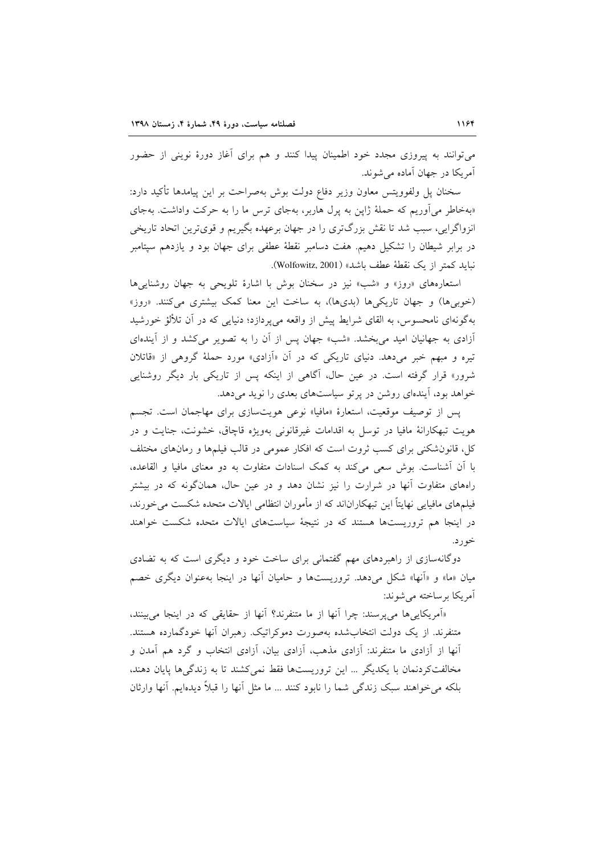میتوانند به پیروزی مجدد خود اطمینان پیدا کنند و هم برای آغاز دورهٔ نوینی از حضور آمر یکا در جهان آماده مرشوند.

سخنان پل ولفوويتس معاون وزير دفاع دولت بوش بهصراحت بر اين پيامدها تأكيد دارد: «بهخاطر می آوریم که حملهٔ ژاین به پرل هاربر، بهجای ترس ما را به حرکت واداشت. بهجای انزواگرایی، سبب شد تا نقش بزرگتری را در جهان برعهده بگیریم و قویترین اتحاد تاریخی در برابر شیطان را تشکیل دهیم. هفت دسامبر نقطهٔ عطفی برای جهان بود و یازدهم سپتامبر نبايد كمتر از يك نقطة عطف باشد» (Wolfowitz, 2001).

استعارههای «روز» و «شب» نیز در سخنان بوش با اشارهٔ تلویحی به جهان روشنایی ها (خوبی ها) و جهان تاریکی ها (بدی ها)، به ساخت این معنا کمک بیشتری میکنند. «روز» بهگونهای نامحسوس، به القای شرایط پیش از واقعه می پردازد؛ دنیایی که در آن تلألؤ خورشید آزادی به جهانیان امید می بخشد. «شب» جهان پس از آن را به تصویر می کشد و از آیندهای تیره و مبهم خبر میدهد. دنیای تاریکی که در آن «اَزادی» مورد حملهٔ گروهی از «قاتلان شرور» قرار گرفته است. در عین حال، آگاهی از اینکه پس از تاریکی بار دیگر روشنایی خواهد بود، آیندهای روشن در پرتو سیاستهای بعدی را نوید می دهد.

پس از توصیف موقعیت، استعارهٔ «مافیا» نوعی هویتسازی برای مهاجمان است. تجسم هويت تبهكارانهٔ مافيا در توسل به اقدامات غيرقانوني بهويژه قاچاق، خشونت، جنايت و در کلم، قانون شکنی برای کسب ثروت است که افکار عمومی در قالب فیلمها و رمانهای مختلف با أن أشناست. بوش سعى مى كند به كمك اسنادات متفاوت به دو معناى مافيا و القاعده، راههای متفاوت آنها در شرارت را نیز نشان دهد و در عین حال، همانگونه که در بیشتر فیلمهای مافیایی نهایتاً این تبهکاراناند که از مأموران انتظامی ایالات متحده شکست می خورند، در اینجا هم تروریستها هستند که در نتیجهٔ سیاستهای ایالات متحده شکست خواهند خو ر د.

دوگانهسازی از راهبردهای مهم گفتمانی برای ساخت خود و دیگری است که به تضادی میان «ما» و «آنها» شکل میدهد. تروریستها و حامیان آنها در اینجا بهعنوان دیگری خصم آمریکا پرساخته می شوند:

«آمریکاییها می پرسند: چرا آنها از ما متنفرند؟ آنها از حقایقی که در اینجا می بینند، متنفرند. از یک دولت انتخابشده بهصورت دموکراتیک. رهبران آنها خودگمارده هستند. آنها از آزادی ما متنفرند: آزادی مذهب، آزادی بیان، آزادی انتخاب و گرد هم آمدن و مخالفت كردنمان با يكديگر ... اين تروريستها فقط نمي كشند تا به زندگيها پايان دهند، بلكه مي خواهند سبك زندگي شما را نابود كنند … ما مثل آنها را قبلاً ديدهايم. آنها وارثان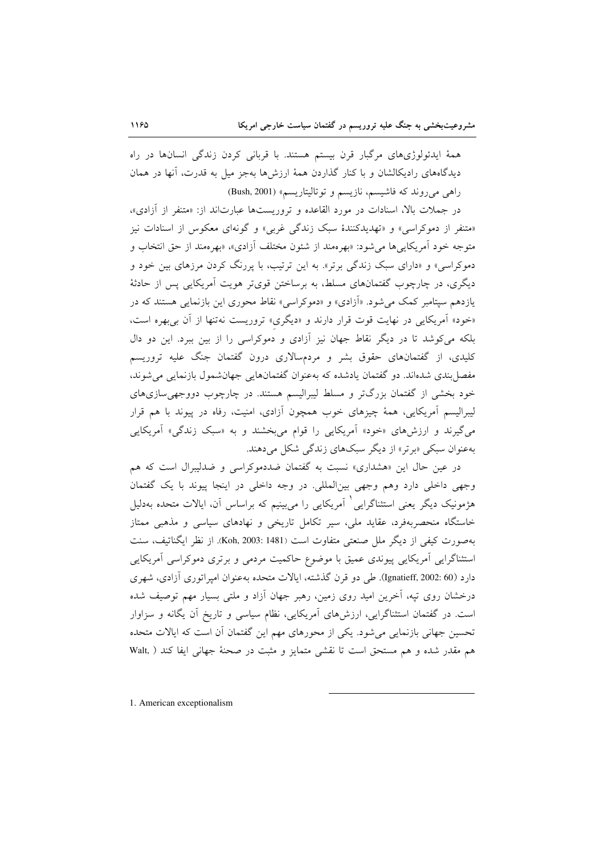همهٔ ایدئولوژیهای مرگبار قرن بیستم هستند. با قربانی کردن زندگی انسانها در راه دیدگاههای رادیکالشان و با کنار گذاردن همهٔ ارزش ها بهجز میل به قدرت، آنها در همان راهی می روند که فاشیسم، نازیسم و توتالیتاریسم» (Bush, 2001)

در جملات بالا، اسنادات در مورد القاعده و تروریستها عبارتاند از: «متنفر از آزادی»، «متنفر از دموکراسی» و «تهدیدکنندهٔ سبک زندگی غربی» و گونهای معکوس از اسنادات نیز متوجه خود آمريكايي ها مي شود: «بهرهمند از شئون مختلف آزادي»، «بهرهمند از حق انتخاب و دموکراسی» و «دارای سبک زندگی برتر». به این ترتیب، با پررنگ کردن مرزهای بین خود و دیگری، در چارچوب گفتمانهای مسلط، به برساختن قویتر هویت آمریکایی پس از حادثهٔ یازدهم سپتامبر کمک می شود. «آزادی» و «دموکراسی» نقاط محوری این بازنمایی هستند که در «خود» آمریکایی در نهایت قوت قرار دارند و «دیگری» تروریست نهتنها از آن بی بهره است، بلکه می کوشد تا در دیگر نقاط جهان نیز آزادی و دموکراسی را از بین ببرد. این دو دال کلیدی، از گفتمانهای حقوق بشر و مردمسالاری درون گفتمان جنگ علیه تروریسم مفصل بندی شدهاند. دو گفتمان یادشده که بهعنوان گفتمانهایی جهانشمول بازنمایی میشوند، خود بخشی از گفتمان بزرگتر و مسلط لیبرالیسم هستند. در چارچوب دووجهی سازیهای لیبرالیسم آمریکایی، همهٔ چیزهای خوب همچون آزادی، امنیت، رفاه در پیوند با هم قرار می گیرند و ارزشهای «خود» آمریکایی را قوام می بخشند و به «سبک زندگی» آمریکایی به عنوان سبکی «برتر» از دیگر سبکهای زندگی شکل میدهند.

در عین حال این «هشداری» نسبت به گفتمان ضددموکراسی و ضدلیبرال است که هم وجهي داخلي دارد وهم وجهي بين المللي. در وجه داخلي در اينجا پيوند با يک گفتمان هژمونیک دیگر یعنی استثناگرایی<sup>٬</sup> آمریکایی را میبینیم که براساس آن، ایالات متحده بهدلیل خاستگاه منحصربهفرد، عقاید ملی، سیر تکامل تاریخی و نهادهای سیاسی و مذهبی ممتاز بهصورت كيفي از ديگر ملل صنعتي متفاوت است (Koh, 2003: 1481). از نظر ايگناتيف، سنت استثناگرایی آمریکایی پیوندی عمیق با موضوع حاکمیت مردمی و برتری دموکراسی آمریکایی دارد (Ignatieff, 2002: 60). طي دو قرن گذشته، ايالات متحده بهعنوان اميراتوري آزادي، شهري درخشان روی تیه، آخرین امید روی زمین، رهبر جهان آزاد و ملتی بسیار مهم توصیف شده است. در گفتمان استثناگرایی، ارزشهای آمریکایی، نظام سیاسی و تاریخ آن یگانه و سزاوار تحسین جهانی بازنمایی میشود. یکی از محورهای مهم این گفتمان آن است که ایالات متحده هم مقدر شده و هم مستحق است تا نقشى متمايز و مثبت در صحنهٔ جهاني ايفا كند ( .Walt

1. American exceptionalism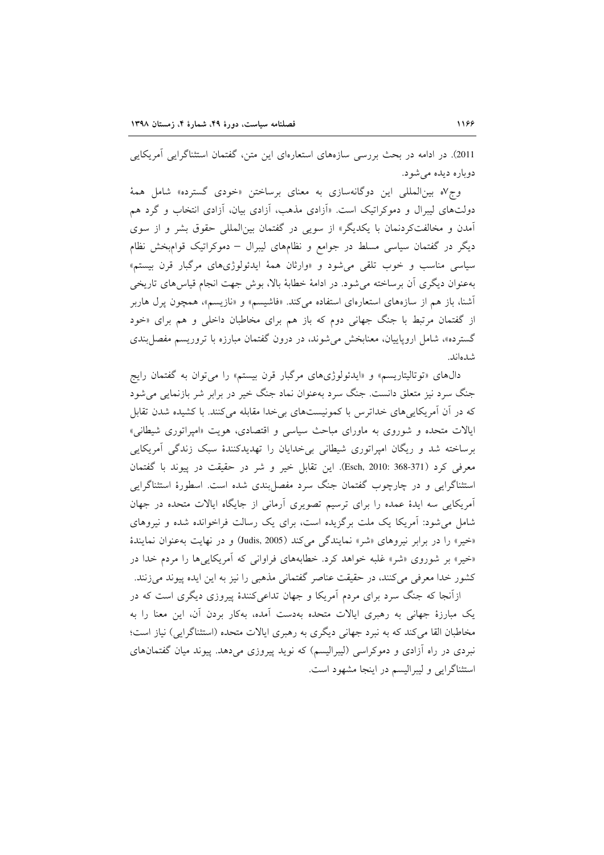2011). در ادامه در بحث بررسی سازههای استعارهای این متن، گفتمان استثناگرایی آمریکایی دوباره دیده می شود.

وج۷ه بینالمللی این دوگانهسازی به معنای برساختن «خودی گسترده» شامل همهٔ دولتهای لیبرال و دموکراتیک است. «آزادی مذهب، آزادی بیان، آزادی انتخاب و گرد هم آمدن و مخالفتکردنمان با یکدیگر» از سویی در گفتمان بینالمللی حقوق بشر و از سوی دیگر در گفتمان سیاسی مسلط در جوامع و نظامهای لیبرال – دموکراتیک قوامبخش نظام سیاسی مناسب و خوب تلقی می شود و «وارثان همهٔ ایدئولوژیهای مرگبار قرن بیستم» بهعنوان دیگری آن برساخته می شود. در ادامهٔ خطابهٔ بالا، بوش جهت انجام قیاس های تاریخی آشنا، باز هم از سازههای استعارهای استفاده میکند. «فاشیسم» و «نازیسم»، همچون پرل هاربر از گفتمان مرتبط با جنگ جهانی دوم که باز هم برای مخاطبان داخلی و هم برای «خود گسترده»، شامل اروپاییان، معنابخش می شوند، در درون گفتمان مبارزه با تروریسم مفصل بندی شدەاند.

دالهای «توتالیتاریسم» و «ایدئولوژیهای مرگبار قرن بیستم» را می توان به گفتمان رایج جنگ سرد نیز متعلق دانست. جنگ سرد بهعنوان نماد جنگ خیر در برابر شر بازنمایی می شود که در آن آمریکاییهای خداترس با کمونیستهای بی خدا مقابله میکنند. با کشیده شدن تقابل ایالات متحده و شوروی به ماورای مباحث سیاسی و اقتصادی، هویت «امپراتوری شیطانی» برساخته شد و ریگان امپراتوری شیطانی بیخدایان را تهدیدکنندهٔ سبک زندگی آمریکایی معرفی کرد (Esch, 2010: 368-371). این تقابل خیر و شر در حقیقت در پیوند با گفتمان استثناگرایی و در چارچوب گفتمان جنگ سرد مفصل بندی شده است. اسطورهٔ استثناگرایی آمریکایی سه ایدهٔ عمده را برای ترسیم تصویری آرمانی از جایگاه ایالات متحده در جهان شامل می شود: آمریکا یک ملت برگزیده است، برای یک رسالت فراخوانده شده و نیروهای «خير» را در برابر نيروهاي «شر» نمايندگي مي كند (Judis, 2005) و در نهايت به عنوان نمايندهٔ «خیر» بر شوروی «شر» غلبه خواهد کرد. خطابههای فراوانی که آمریکاییها را مردم خدا در کشور خدا معرفی میکنند، در حقیقت عناصر گفتمانی مذهبی را نیز به این ایده پیوند میزنند.

ازآنجا که جنگ سرد برای مردم آمریکا و جهان تداعی کنندهٔ پیروزی دیگری است که در یک مبارزهٔ جهانی به رهبری ایالات متحده بهدست آمده، بهکار بردن آن، این معنا را به مخاطبان القا می کند که به نبرد جهانی دیگری به رهبری ایالات متحده (استثناگرایی) نیاز است؛ نبردی در راه آزادی و دموکراسی (لیبرالیسم) که نوید پیروزی می دهد. پیوند میان گفتمانهای استثناگرايي و ليبراليسم در اينجا مشهود است.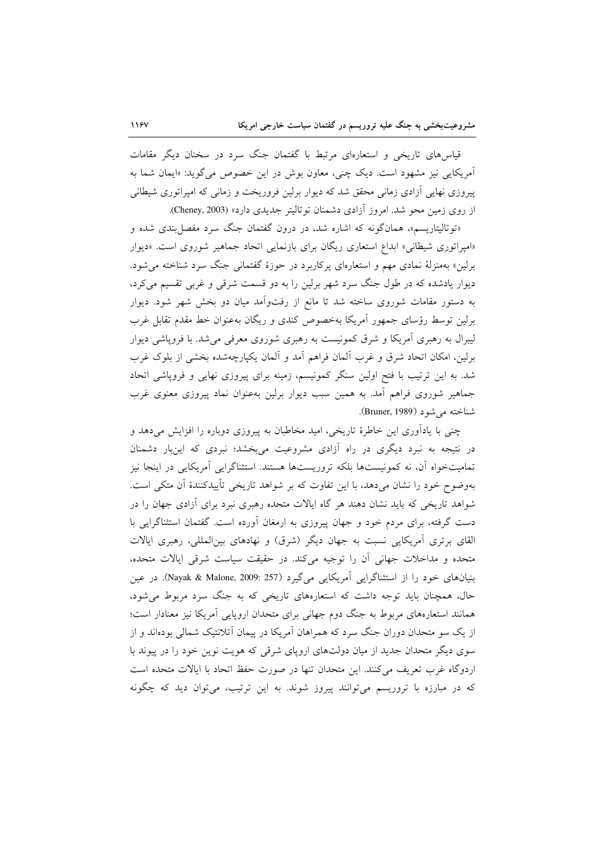قیاس های تاریخی و استعارهای مرتبط با گفتمان جنگ سرد در سخنان دیگر مقامات آمريكايي نيز مشهود است. ديك چني، معاون بوش در اين خصوص مي گويد: «ايمان شما به پیروزی نهایی آزادی زمانی محقق شد که دیوار برلین فروریخت و زمانی که امپراتوری شیطانی از روی زمین محو شد. امروز آزادی دشمنان توتالیتر جدیدی دارد» (Cheney, 2003).

«توتالیتاریسم»، همانگونه که اشاره شد، در درون گفتمان جنگ سرد مفصل بندی شده و «امیراتوری شیطانی» ابداع استعاری ریگان برای بازنمایی اتحاد جماهیر شوروی است. «دیوار برلین» بهمنزلهٔ نمادی مهم و استعارهای پرکاربرد در حوزهٔ گفتمانی جنگ سرد شناخته می شود. دیوار یادشده که در طول جنگ سرد شهر برلین را به دو قسمت شرقی و غربی تقسیم می کرد، به دستور مقامات شوروی ساخته شد تا مانع از رفتواًمد میان دو بخش شهر شود. دیوار برلین توسط رؤسای جمهور آمریکا بهخصوص کندی و ریگان بهعنوان خط مقدم تقابل غرب لیبرال به رهبری آمریکا و شرق کمونیست به رهبری شوروی معرفی می شد. با فرویاشی دیوار برلین، امکان اتحاد شرق و غرب المان فراهم اَمد و اَلمان یکپارچهشده بخشی از بلوک غرب شد. به این ترتیب با فتح اولین سنگر کمونیسم، زمینه برای پیروزی نهایی و فروپاشی اتحاد جماهیر شوروی فراهم آمد. به همین سبب دیوار برلین بهعنوان نماد پیروزی معنوی غرب شناخته مي شود (Bruner, 1989).

چنبی با یادآوری این خاطرهٔ تاریخی، امید مخاطبان به پیروزی دوباره را افزایش میدهد و در نتیجه به نبرد دیگری در راه آزادی مشروعیت میبخشد؛ نبردی که اینبار دشمنان تمامیتخواه آن، نه کمونیستها بلکه تروریستها هستند. استثناگرایی آمریکایی در اینجا نیز بهوضوح خود را نشان می،دهد، با این تفاوت که بر شواهد تاریخی تأییدکنندهٔ آن متکی است. شواهد تاریخی که باید نشان دهند هر گاه ایالات متحده رهبری نبرد برای أزادی جهان را در دست گرفته، برای مردم خود و جهان پیروزی به ارمغان آورده است. گفتمان استثناگرایی با القای برتری آمریکایی نسبت به جهان دیگر (شرق) و نهادهای بین|لمللی، رهبری ایالات متحده و مداخلات جهانی أن را توجیه میکند. در حقیقت سیاست شرقی ایالات متحده، بنیانهای خود را از استثناگرایی آمریکایی میگیرد (Nayak & Malone, 2009: 257). در عین حال، همچنان باید توجه داشت که استعارههای تاریخی که به جنگ سرد مربوط می شود، همانند استعارههای مربوط به جنگ دوم جهانی برای متحدان اروپایی آمریکا نیز معنادار است؛ از یک سو متحدان دوران جنگ سرد که همراهان آمریکا در پیمان اَتلانتیک شمالی بودهاند و از سوی دیگر متحدان جدید از میان دولتهای اروپای شرقی که هویت نوین خود را در پیوند با اردوگاه غرب تعریف می کنند. این متحدان تنها در صورت حفظ اتحاد با ایالات متحده است که در مبارزه با تروریسم می توانند پیروز شوند. به این ترتیب، می توان دید که چگونه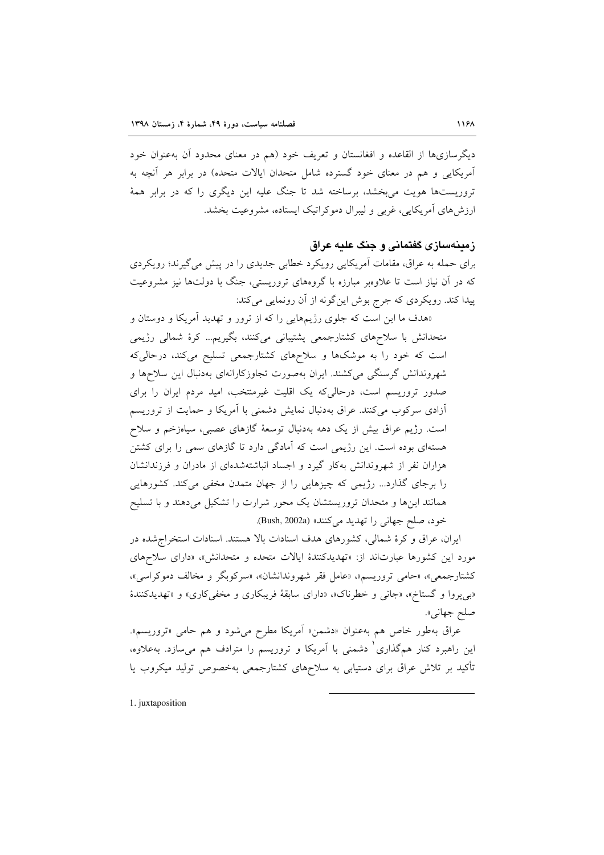دیگرسازیها از القاعده و افغانستان و تعریف خود (هم در معنای محدود آن بهعنوان خود آمریکایی و هم در معنای خود گسترده شامل متحدان ایالات متحده) در برابر هر آنچه به تروریستها هویت می بخشد، برساخته شد تا جنگ علیه این دیگری را که در برابر همهٔ ارزش های آمریکایی، غربی و لیبرال دموکراتیک ایستاده، مشروعیت بخشد.

### زمینهسازی گفتمانی و جنگ علیه عراق

برای حمله به عراق، مقامات آمریکایی رویکرد خطابی جدیدی را در پیش می گیرند؛ رویکردی که در آن نیاز است تا علاوهبر مبارزه با گروههای تروریستی، جنگ با دولتها نیز مشروعیت پیدا کند. رویکردی که جرج بوش این گونه از آن رونمایی می کند:

«هدف ما این است که جلوی رژیمهایی را که از ترور و تهدید آمریکا و دوستان و متحدانش با سلاحهای کشتارجمعی پشتیبانی میکنند، بگیریم… کرهٔ شمالی رژیمی است که خود را به موشکها و سلاحهای کشتارجمعی تسلیح میکند، درحالیکه شهروندانش گرسنگی میکشند. ایران بهصورت تجاوزکارانهای بهدنبال این سلاحها و صدور تروریسم است، درحالی که یک اقلیت غیرمنتخب، امید مردم ایران را برای آزادی سرکوب میکنند. عراق بهدنبال نمایش دشمنی با آمریکا و حمایت از تروریسم است. رژیم عراق بیش از یک دهه بهدنبال توسعهٔ گازهای عصبی، سیاهزخم و سلاح هستهای بوده است. این رژیمی است که آمادگی دارد تا گازهای سمی را برای کشتن هزاران نفر از شهروندانش بهكار گیرد و اجساد انباشتهشدهای از مادران و فرزندانشان را برجای گذارد... رژیمی که چیزهایی را از جهان متمدن مخفی میکند. کشورهایی همانند اینها و متحدان تروریستشان یک محور شرارت را تشکیل میدهند و با تسلیح خود، صلح جهاني را تهديد مي كنند» (Bush, 2002a).

ایران، عراق و کرهٔ شمالی، کشورهای هدف اسنادات بالا هستند. اسنادات استخراج شده در مورد این کشورها عبارتاند از: «تهدیدکنندهٔ ایالات متحده و متحدانش»، «دارای سلاحهای کشتارجمعی»، «حامی تروریسم»، «عامل فقر شهروندانشان»، «سرکوبگر و مخالف دموکراسی»، «بي پروا و گستاخ»، «جاني و خطرناک»، «داراي سابقهٔ فريبکاري و مخفي کاري» و «تهديدکنندهٔ صلح جهاني».

عراق بهطور خاص هم بهعنوان «دشمن» آمریکا مطرح میشود و هم حامی «تروریسم». این راهبرد کنار همگذاری ٰ دشمنی با آمریکا و تروریسم را مترادف هم میسازد. بهعلاوه، تأکید بر تلاش عراق برای دستیابی به سلاحهای کشتارجمعی بهخصوص تولید میکروب یا

1. juxtaposition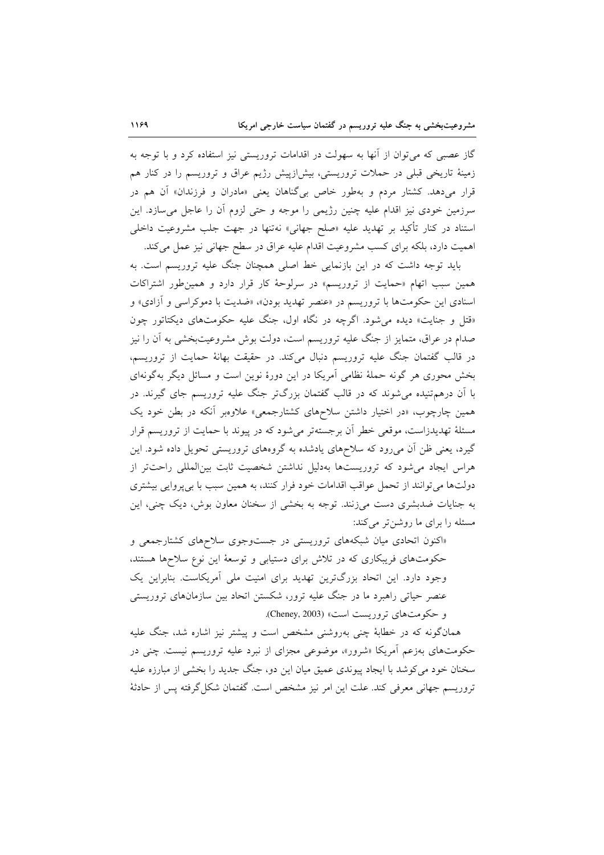گاز عصبی که می توان از آنها به سهولت در اقدامات تروریستی نیز استفاده کرد و با توجه به زمینهٔ تاریخی قبلی در حملات تروریستی، بیش(زییش رژیم عراق و تروریسم را در کنار هم قرار میدهد. کشتار مردم و بهطور خاص بیگناهان یعنی «مادران و فرزندان» آن هم در سرزمین خودی نیز اقدام علیه چنین رژیمی را موجه و حتی لزوم آن را عاجل می سازد. این استناد در کنار تأکید بر تهدید علیه «صلح جهانی» نهتنها در جهت جلب مشروعیت داخل<sub>ی</sub> اهمیت دارد، بلکه برای کسب مشروعیت اقدام علیه عراق در سطح جهانی نیز عمل می کند.

باید توجه داشت که در این بازنمایی خط اصلی همچنان جنگ علیه تروریسم است. به همین سبب اتهام «حمایت از تروریسم» در سرلوحهٔ کار قرار دارد و همین طور اشتراکات اسنادی این حکومتها با تروریسم در «عنصر تهدید بودن»، «ضدیت با دموکراسی و آزادی» و «قتل و جنایت» دیده می شود. اگرچه در نگاه اول، جنگ علیه حکومتهای دیکتاتور چون صدام در عراق، متمایز از جنگ علیه تروریسم است، دولت بوش مشروعیتبخشی به آن را نیز در قالب گفتمان جنگ علیه تروریسم دنبال میکند. در حقیقت بهانهٔ حمایت از تروریسم، بخش محوری هر گونه حملهٔ نظامی آمریکا در این دورهٔ نوین است و مسائل دیگر بهگونهای با آن درهمتنیده می شوند که در قالب گفتمان بزرگتر جنگ علیه تروریسم جای گیرند. در همین چارچوب، «در اختیار داشتن سلاحهای کشتارجمعی» علاوهبر آنکه در بطن خود یک مسئلهٔ تهدیدزاست، موقعی خطر آن برجستهتر می شود که در پیوند با حمایت از تروریسم قرار گیرد، یعنی ظن آن می رود که سلاحهای یادشده به گروههای تروریستی تحویل داده شود. این هراس ایجاد می شود که تروریستها بهدلیل نداشتن شخصیت ثابت بین المللی راحتتر از دولتها می توانند از تحمل عواقب اقدامات خود فرار کنند، به همین سبب با بی پروایی بیشتری به جنایات ضدبشری دست میزنند. توجه به بخشی از سخنان معاون بوش، دیک چنی، این مسئله را برای ما روشنتر میکند:

«اکنون اتحادی میان شبکههای تروریستی در جست وجوی سلاحهای کشتارجمعی و حکومتهای فریبکاری که در تلاش برای دستیابی و توسعهٔ این نوع سلاحها هستند، وجود دارد. این اتحاد بزرگترین تهدید برای امنیت ملی آمریکاست. بنابراین یک عنصر حیاتی راهبرد ما در جنگ علیه ترور، شکستن اتحاد بین سازمانهای تروریستی و حكومت هاي تروريست است» (Cheney, 2003).

همانگونه که در خطابهٔ چنی بهروشنی مشخص است و پیشتر نیز اشاره شد، جنگ علیه حکومتهای بهزعم آمریکا «شرور»، موضوعی مجزای از نبرد علیه تروریسم نیست. چنی در سخنان خود می کوشد با ایجاد پیوندی عمیق میان این دو، جنگ جدید را بخشی از مبارزه علیه تروریسم جهانی معرفی کند. علت این امر نیز مشخص است. گفتمان شکل گرفته پس از حادثهٔ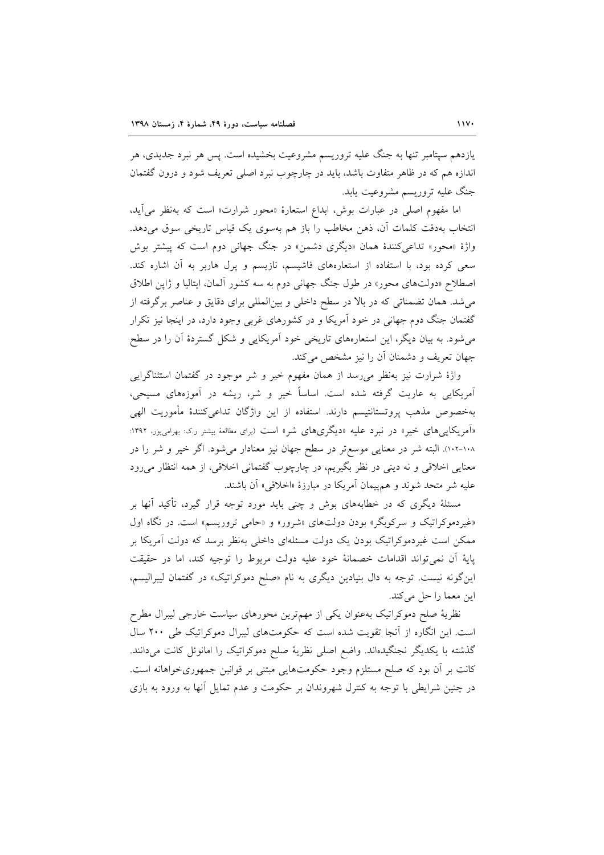یازدهم سپتامبر تنها به جنگ علیه تروریسم مشروعیت بخشیده است. پس هر نبرد جدیدی، هر اندازه هم که در ظاهر متفاوت باشد، باید در چارچوب نبرد اصلی تعریف شود و درون گفتمان جنگ عليه تروريسم مشروعيت يابد.

اما مفهوم اصلی در عبارات بوش، ابداع استعارهٔ «محور شرارت» است که بهنظر می آید، انتخاب بهدقت کلمات آن، ذهن مخاطب را باز هم بهسوی یک قیاس تاریخی سوق میدهد. واژهٔ «محور» تداعی کنندهٔ همان «دیگری دشمن» در جنگ جهانی دوم است که پیشتر بوش سعی کرده بود، با استفاده از استعارههای فاشیسم، نازیسم و پرل هاربر به آن اشاره کند. اصطلاح «دولتهای محور» در طول جنگ جهانی دوم به سه کشور آلمان، ایتالیا و ژاپن اطلاق می شد. همان تضمناتی که در بالا در سطح داخلی و بینالمللی برای دقایق و عناصر برگرفته از گفتمان جنگ دوم جهانی در خود آمریکا و در کشورهای غربی وجود دارد، در اینجا نیز تکرار می شود. به بیان دیگر، این استعارههای تاریخی خود آمریکایی و شکل گستردهٔ آن را در سطح جهان تعریف و دشمنان آن را نیز مشخص میکند.

واژهٔ شرارت نیز بهنظر می رسد از همان مفهوم خیر و شر موجود در گفتمان استثناگرایی آمریکایی به عاریت گرفته شده است. اساساً خیر و شر، ریشه در آموزههای مسیحی، بهخصوص مذهب پروتستانتیسم دارند. استفاده از این واژگان تداعیکنندهٔ مأموریت الهی «آمریکایی های خیر» در نبرد علیه «دیگریهای شر» است (برای مطالعهٔ بیشتر ر.ک: بهرامیپور، ۱۳۹۲: ۱۰۸-۱۰۲٪. البته شر در معنایی موسعتر در سطح جهان نیز معنادار میشود. اگر خیر و شر را در معنایی اخلاقی و نه دینی در نظر بگیریم، در چارچوب گفتمانی اخلاقی، از همه انتظار می رود عليه شر متحد شوند و هم پيمان آمريكا در مبارزهٔ «اخلاقي» آن باشند.

مسئلهٔ دیگری که در خطابههای بوش و چنی باید مورد توجه قرار گیرد، تأکید آنها بر «غیردموکراتیک و سرکوبگر» بودن دولتهای «شرور» و «حامی تروریسم» است. در نگاه اول ممکن است غیردموکراتیک بودن یک دولت مسئلهای داخلی بهنظر برسد که دولت آمریکا بر پايهٔ اّن نميتواند اقدامات خصمانهٔ خود عليه دولت مربوط را توجيه كند، اما در حقيقت این گونه نیست. توجه به دال بنیادین دیگری به نام «صلح دموکراتیک» در گفتمان لیبرالیسم، این معما را حل می کند.

نظریهٔ صلح دموکراتیک بهعنوان یکی از مهمترین محورهای سیاست خارجی لیبرال مطرح است. این انگاره از آنجا تقویت شده است که حکومتهای لیبرال دموکراتیک طی ۲۰۰ سال گذشته با یکدیگر نجنگیدهاند. واضع اصلی نظریهٔ صلح دموکراتیک را امانوئل کانت میدانند. کانت بر آن بود که صلح مستلزم وجود حکومتهایی مبتنی بر قوانین جمهوریخواهانه است. در چنین شرایطی با توجه به کنترل شهروندان بر حکومت و عدم تمایل آنها به ورود به بازی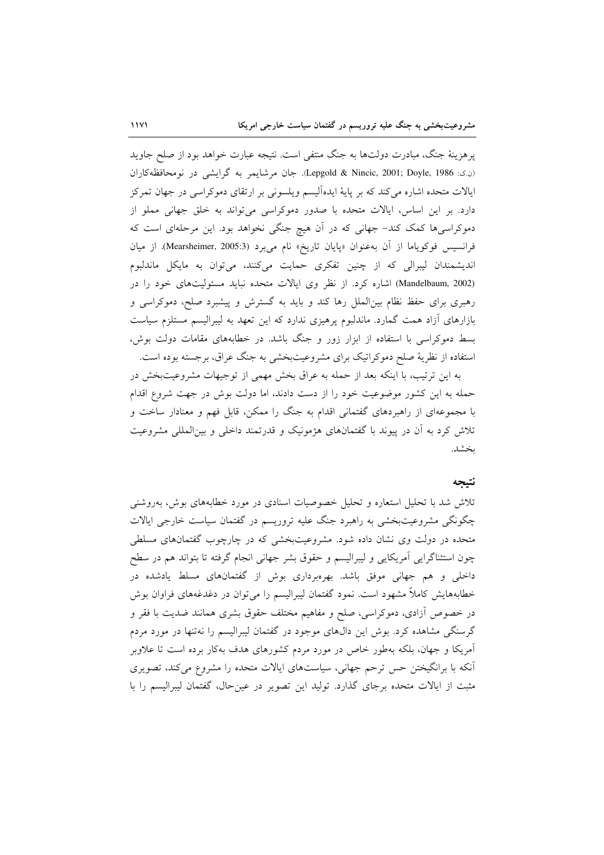پرهزینهٔ جنگ، مبادرت دولتها به جنگ منتفی است. نتیجه عبارت خواهد بود از صلح جاوید (ن که: Lepgold & Nincic, 2001; Doyle, 1986). جان مرشايعر به گرايشي در نومحافظه کاران ایالات متحده اشاره میکند که بر پایهٔ ایدهألیسم ویلسونی بر ارتقای دموکراسی در جهان تمرکز دارد. بر این اساس، ایالات متحده با صدور دموکراسی می تواند به خلق جهانی مملو از دموکراسیها کمک کند- جهانی که در آن هیچ جنگی نخواهد بود. این مرحلهای است که فرانسيس فوكوياما از آن به عنوان «پايان تاريخ» نام مي برد (Mearsheimer, 2005:3). از ميان اندیشمندان لیبرالی که از چنین تفکری حمایت میکنند، میتوان به مایکل ماندلبوم (Mandelbaum, 2002) اشاره کرد. از نظر وی ایالات متحده نباید مسئولیتهای خود را در رهبری برای حفظ نظام بین|لملل رها کند و باید به گسترش و پیشبرد صلح، دموکراسی و بازارهای آزاد همت گمارد. ماندلبوم پرهیزی ندارد که این تعهد به لیبرالیسم مستلزم سیاست بسط دموکراسی با استفاده از ابزار زور و جنگ باشد. در خطابههای مقامات دولت بوش، استفاده از نظریهٔ صلح دموکراتیک برای مشروعیتبخشی به جنگ عراق، برجسته بوده است.

به این ترتیب، با اینکه بعد از حمله به عراق بخش مهمی از توجیهات مشروعیتبخش در حمله به این کشور موضوعیت خود را از دست دادند، اما دولت بوش در جهت شروع اقدام با مجموعهای از راهبردهای گفتمانی اقدام به جنگ را ممکن، قابل فهم و معنادار ساخت و تلاش کرد به آن در پیوند با گفتمانهای هژمونیک و قدرتمند داخلی و بینالمللی مشروعیت بخشد.

### نتيجه

تلاش شد با تحلیل استعاره و تحلیل خصوصیات اسنادی در مورد خطابههای بوش، بهروشنی چگونگی مشروعیتبخشی به راهبرد جنگ علیه تروریسم در گفتمان سیاست خارجی ایالات متحده در دولت وی نشان داده شود. مشروعیتبخشی که در چارچوب گفتمانهای مسلطی چون استثناگرایی آمریکایی و لیبرالیسم و حقوق بشر جهانی انجام گرفته تا بتواند هم در سطح داخلی و هم جهانی موفق باشد. بهرهبرداری بوش از گفتمانهای مسلط یادشده در خطابههایش کاملاً مشهود است. نمود گفتمان لیبرالیسم را می توان در دغدغههای فراوان بوش در خصوص أزادى، دموكراسى، صلح و مفاهيم مختلف حقوق بشرى همانند ضديت با فقر و گرسنگی مشاهده کرد. بوش این دالهای موجود در گفتمان لیبرالیسم را نهتنها در مورد مردم آمریکا و جهان، بلکه بهطور خاص در مورد مردم کشورهای هدف بهکار برده است تا علاوبر أنکه با برانگیختن حس ترحم جهانی، سیاستهای ایالات متحده را مشروع میکند، تصویری مثبت از ایالات متحده برجای گذارد. تولید این تصویر در عین حال، گفتمان لیبرالیسم را با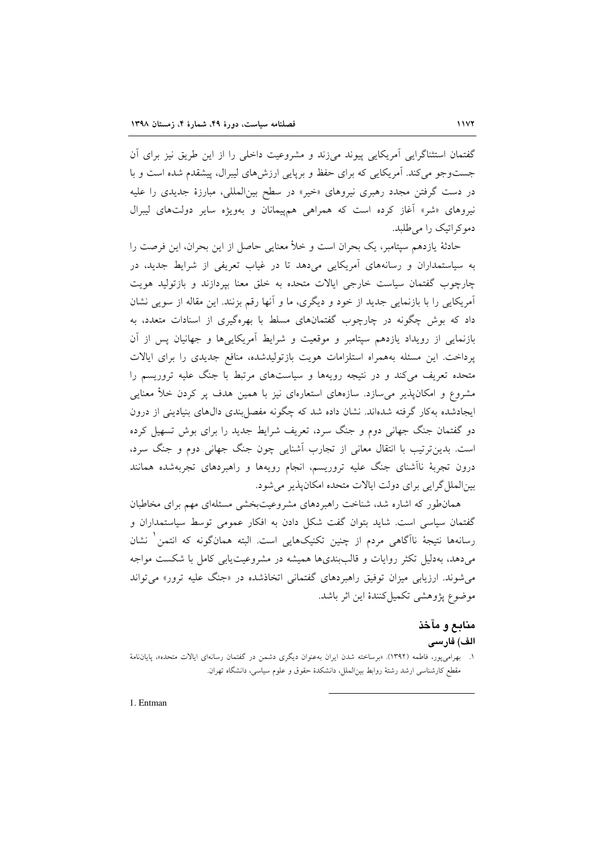گفتمان استثناگرایی آمریکایی پیوند میزند و مشروعیت داخلی را از این طریق نیز برای اَن جستوجو می کند. آمریکایی که برای حفظ و برپایی ارزش های لیبرال، پیشقدم شده است و با در دست گرفتن مجدد رهبری نیروهای «خیر» در سطح بینالمللی، مبارزهٔ جدیدی را علیه نیروهای «شر» آغاز کرده است که همراهی هم پیمانان و بهویژه سایر دولتهای لیبرال دموکراتیک را می طلبد.

حادثهٔ یازدهم سپتامبر، یک بحران است و خلأ معنایی حاصل از این بحران، این فرصت را به سیاستمداران و رسانههای آمریکایی میدهد تا در غیاب تعریفی از شرایط جدید، در چارچوب گفتمان سیاست خارجی ایالات متحده به خلق معنا بیردازند و بازتولید هویت آمريكايي را با بازنمايي جديد از خود و ديگري، ما و آنها رقم بزنند. اين مقاله از سويي نشان داد که بوش چگونه در چارچوب گفتمانهای مسلط با بهرهگیری از اسنادات متعدد، به بازنمایی از رویداد یازدهم سپتامبر و موقعیت و شرایط آمریکایی ها و جهانیان یس از آن پرداخت. این مسئله بههمراه استلزامات هویت بازتولیدشده، منافع جدیدی را برای ایالات متحده تعریف میکند و در نتیجه رویهها و سیاستهای مرتبط با جنگ علیه تروریسم را مشروع و امکانپذیر می سازد. سازههای استعارهای نیز با همین هدف پر کردن خلأ معنایی ایجادشده بهکار گرفته شدهاند. نشان داده شد که چگونه مفصل بندی دالهای بنیادینی از درون دو گفتمان جنگ جهانی دوم و جنگ سرد، تعریف شرایط جدید را برای بوش تسهیل کرده است. بدینترتیب با انتقال معانی از تجارب آشنایی چون جنگ جهانی دوم و جنگ سرد، درون تجربهٔ ناأشنای جنگ علیه تروریسم، انجام رویهها و راهبردهای تجربهشده همانند بین الملل گرایی برای دولت ایالات متحده امکان پذیر می شود.

همانطور که اشاره شد، شناخت راهبردهای مشروعیتبخشی مسئلهای مهم برای مخاطبان گفتمان سیاسی است. شاید بتوان گفت شکل دادن به افکار عمومی توسط سیاستمداران و رسانهها نتيجهٔ ناآگاهي مردم از چنين تكنيكهايي است. البته همانگونه كه انتمن ٰ نشان میدهد، بهدلیل تکثر روایات و قالببندیها همیشه در مشروعیت یابی کامل با شکست مواجه می شوند. ارزیابی میزان توفیق راهبردهای گفتمانی اتخاذشده در «جنگ علیه ترور» می تواند موضوع پژوهشی تکمیل کنندهٔ این اثر باشد.

# منابع و مآخذ الف) فارسى

۱. بهرامیپور، فاطمه (۱۳۹۲). «برساخته شدن ایران بهعنوان دیگری دشمن در گفتمان رسانهای ایالات متحده»، پایاننامهٔ مقطع کارشناسی ارشد رشتهٔ روابط بین|لملل، دانشکدهٔ حقوق و علوم سیاسی، دانشگاه تهران.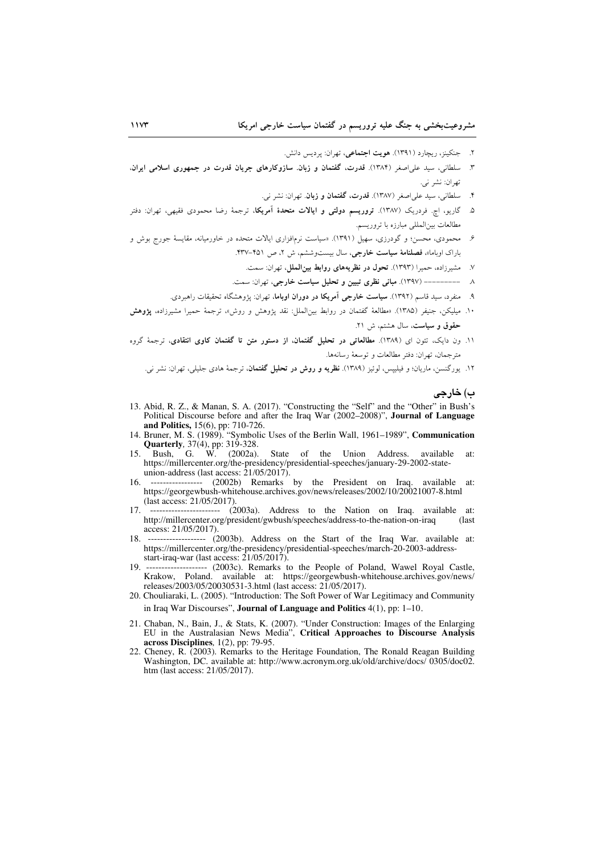- ۲. جنکینز، ریچارد (۱۳۹۱). هویت اجتماعی، تهران: پردیس دانش.
- ۳. سلطانی، سید علی اصغر (۱۳۸۴). قدرت، گفتمان و زبان. سازوکارهای جریان قدرت در جمهوری اسلامی ایران، تهران: نشر ني.
	- ۴. سلطانی، سید علی|صغر (۱۳۸۷). قدرت، گفتمان و زبان. تهران: نشر نبی.
- ۵. گاریو، اچ<sub>.</sub> فردریک (۱۳۸۷). **تروریسم دولتی و ایالات متحدهٔ آمریکا**، ترجمهٔ رضا محمودی فقیهی، تهران: دفتر مطالعات بين المللي مبارزه با تروريسم.
- ۶. محمودی، محسن؛ و گودرزی، سهیل (۱۳۹۱). «سیاست نرمافزاری ایالات متحده در خاورمیانه، مقایسهٔ جورج بوش و .<br>باراک اوباما»، فصلنامهٔ **سیاست خارجی**، سال بیستوششم، ش ۲، ص ۴۵۱–۴۳۷.
	- ۷. مشیرزاده، حمیرا (۱۳۹۳). **تحول در نظریههای روابط بینالملل**، تهران: سمت.
	- ٨ ---------- (١٣٩٧). مباني نظري تبيين و تحليل سياست خارجي، تهران: سمت.
	- ۹. منفرد، سید قاسم (۱۳۹۲). **سیاست خارجی آمریکا در دوران اوباما**، تهران: پژوهشگاه تحقیقات راهبردی.
- ۱۰. میلیکن، جنیفر (۱۳۸۵). «مطالعهٔ گفتمان در روابط بین|لملل: نقد پژوهش و روش» ترجمهٔ حمیرا مشیرزاده، **پژوهش** حقوق و سیاست، سال هشتم، ش ٢١.
- ١١. ون دايک، تئون اى (١٣٨٩). مطالعاتى در تحليل گفتمان، از دستور متن تا گفتمان كاوى انتقادى، ترجمهٔ گروه مترجمان، تهران: دفتر مطالعات و توسعهٔ رسانهها.
	- ۱۲. یورگنسن، ماریان؛ و فیلیپس، لوئیز (۱۳۸۹). <mark>نظریه و روش در تحلیل گفتمان</mark>، ترجمهٔ هادی جلیلی، تهران: نشر ن<sub>و،</sub>.

ب) خارجي

- 13. Abid, R. Z., & Manan, S. A. (2017). "Constructing the "Self" and the "Other" in Bush's Political Discourse before and after the Iraq War (2002–2008)", Journal of Language and Politics, 15(6), pp: 710-726.<br>14. Bruner, M. S. (1989). "Symbolic Uses of the Berlin Wall, 1961–1989", Communication
- **Quarterly**, 37(4), pp: 319-328.<br>Bush, G. W. (2002a).
- $15$ State of the Union Address. available at: https://millercenter.org/the-presidency/presidential-speeches/january-29-2002-stateunion-address (last access:  $21/05/2017$ ).
- (2002b) Remarks by the President on Iraq. available at: 16 https://georgewbush-whitehouse.archives.gov/news/releases/2002/10/20021007-8.html (last access: 21/05/2017).
- 17  $\ldots$  $\ldots$  $\ldots$  $\ldots$  $\ldots$  $\ldots$  (2003a). Address to the Nation on Iraq. available  $at^{\circ}$ http://millercenter.org/president/gwbush/speeches/address-to-the-nation-on-iraq (last access: 21/05/2017).
- 18. ------------------ (2003b). Address on the Start of the Iraq War. available at: https://millercenter.org/the-presidency/presidential-speeches/march-20-2003-addressstart-iraq-war (last access: 21/05/2017).
- 19 releases/2003/05/20030531-3.html (last access: 21/05/2017).
- 20. Chouliaraki, L. (2005). "Introduction: The Soft Power of War Legitimacy and Community in Iraq War Discourses", Journal of Language and Politics  $4(1)$ , pp:  $1-10$ .
- 21. Chaban, N., Bain, J., & Stats, K. (2007). "Under Construction: Images of the Enlarging EU in the Australasian News Media", Critical Approaches to Discourse Analysis across Disciplines, 1(2), pp: 79-95.
- 22. Cheney, R. (2003). Remarks to the Heritage Foundation, The Ronald Reagan Building Washington, DC. available at: http://www.acronym.org.uk/old/archive/docs/ 0305/doc02. htm (last access: 21/05/2017).